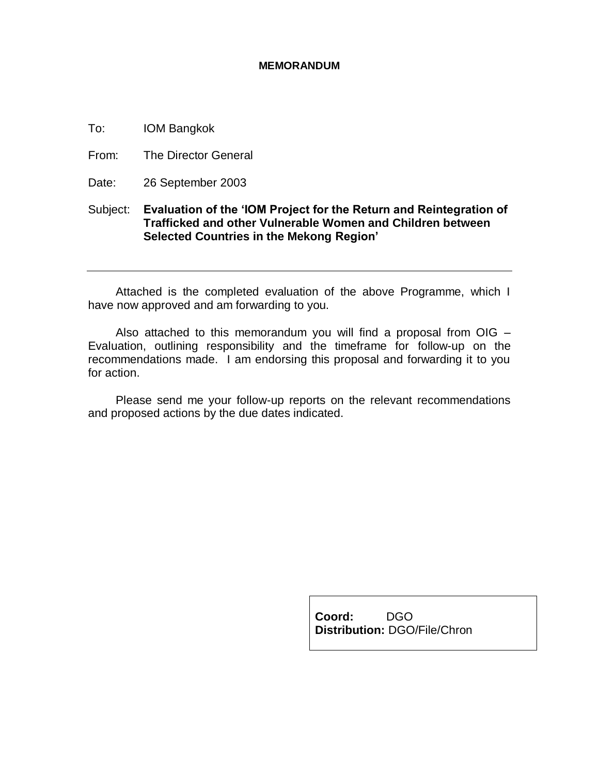#### **MEMORANDUM**

To: IOM Bangkok

From: The Director General

Date: 26 September 2003

# Subject: **Evaluation of the 'IOM Project for the Return and Reintegration of Trafficked and other Vulnerable Women and Children between Selected Countries in the Mekong Region'**

Attached is the completed evaluation of the above Programme, which I have now approved and am forwarding to you.

Also attached to this memorandum you will find a proposal from  $OIG -$ Evaluation, outlining responsibility and the timeframe for follow-up on the recommendations made. I am endorsing this proposal and forwarding it to you for action.

Please send me your follow-up reports on the relevant recommendations and proposed actions by the due dates indicated.

> **Coord:** DGO **Distribution:** DGO/File/Chron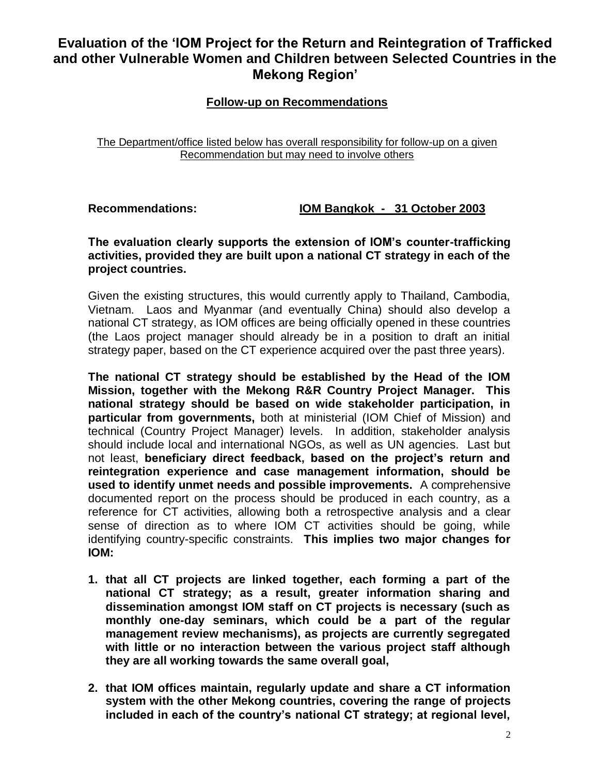# **Evaluation of the 'IOM Project for the Return and Reintegration of Trafficked and other Vulnerable Women and Children between Selected Countries in the Mekong Region'**

# **Follow-up on Recommendations**

### The Department/office listed below has overall responsibility for follow-up on a given Recommendation but may need to involve others

**Recommendations: IOM Bangkok - 31 October 2003**

# **The evaluation clearly supports the extension of IOM's counter-trafficking activities, provided they are built upon a national CT strategy in each of the project countries.**

Given the existing structures, this would currently apply to Thailand, Cambodia, Vietnam. Laos and Myanmar (and eventually China) should also develop a national CT strategy, as IOM offices are being officially opened in these countries (the Laos project manager should already be in a position to draft an initial strategy paper, based on the CT experience acquired over the past three years).

**The national CT strategy should be established by the Head of the IOM Mission, together with the Mekong R&R Country Project Manager. This national strategy should be based on wide stakeholder participation, in particular from governments,** both at ministerial (IOM Chief of Mission) and technical (Country Project Manager) levels. In addition, stakeholder analysis should include local and international NGOs, as well as UN agencies. Last but not least, **beneficiary direct feedback, based on the project's return and reintegration experience and case management information, should be used to identify unmet needs and possible improvements.** A comprehensive documented report on the process should be produced in each country, as a reference for CT activities, allowing both a retrospective analysis and a clear sense of direction as to where IOM CT activities should be going, while identifying country-specific constraints. **This implies two major changes for IOM:** 

- **1. that all CT projects are linked together, each forming a part of the national CT strategy; as a result, greater information sharing and dissemination amongst IOM staff on CT projects is necessary (such as monthly one-day seminars, which could be a part of the regular management review mechanisms), as projects are currently segregated with little or no interaction between the various project staff although they are all working towards the same overall goal,**
- **2. that IOM offices maintain, regularly update and share a CT information system with the other Mekong countries, covering the range of projects included in each of the country's national CT strategy; at regional level,**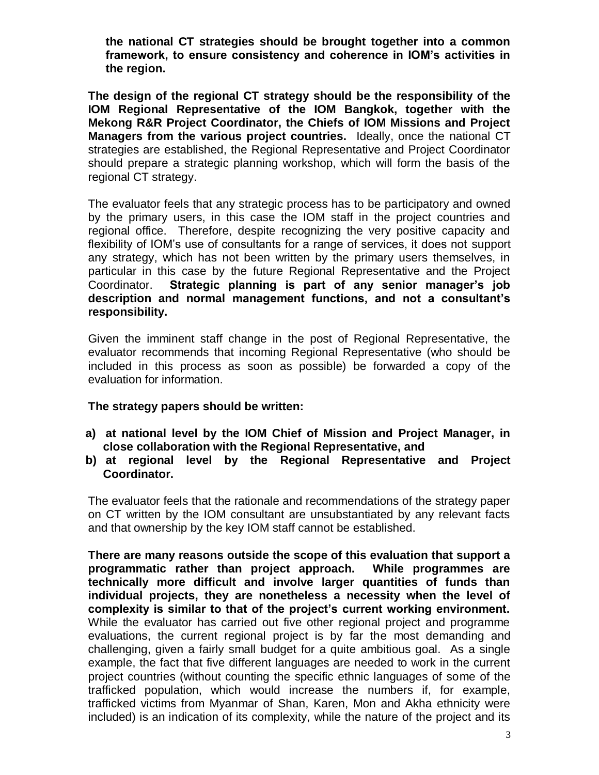**the national CT strategies should be brought together into a common framework, to ensure consistency and coherence in IOM's activities in the region.** 

**The design of the regional CT strategy should be the responsibility of the IOM Regional Representative of the IOM Bangkok, together with the Mekong R&R Project Coordinator, the Chiefs of IOM Missions and Project Managers from the various project countries.** Ideally, once the national CT strategies are established, the Regional Representative and Project Coordinator should prepare a strategic planning workshop, which will form the basis of the regional CT strategy.

The evaluator feels that any strategic process has to be participatory and owned by the primary users, in this case the IOM staff in the project countries and regional office. Therefore, despite recognizing the very positive capacity and flexibility of IOM's use of consultants for a range of services, it does not support any strategy, which has not been written by the primary users themselves, in particular in this case by the future Regional Representative and the Project Coordinator. **Strategic planning is part of any senior manager's job description and normal management functions, and not a consultant's responsibility.**

Given the imminent staff change in the post of Regional Representative, the evaluator recommends that incoming Regional Representative (who should be included in this process as soon as possible) be forwarded a copy of the evaluation for information.

# **The strategy papers should be written:**

- **a) at national level by the IOM Chief of Mission and Project Manager, in close collaboration with the Regional Representative, and**
- **b) at regional level by the Regional Representative and Project Coordinator.**

The evaluator feels that the rationale and recommendations of the strategy paper on CT written by the IOM consultant are unsubstantiated by any relevant facts and that ownership by the key IOM staff cannot be established.

**There are many reasons outside the scope of this evaluation that support a programmatic rather than project approach. While programmes are technically more difficult and involve larger quantities of funds than individual projects, they are nonetheless a necessity when the level of complexity is similar to that of the project's current working environment.**  While the evaluator has carried out five other regional project and programme evaluations, the current regional project is by far the most demanding and challenging, given a fairly small budget for a quite ambitious goal. As a single example, the fact that five different languages are needed to work in the current project countries (without counting the specific ethnic languages of some of the trafficked population, which would increase the numbers if, for example, trafficked victims from Myanmar of Shan, Karen, Mon and Akha ethnicity were included) is an indication of its complexity, while the nature of the project and its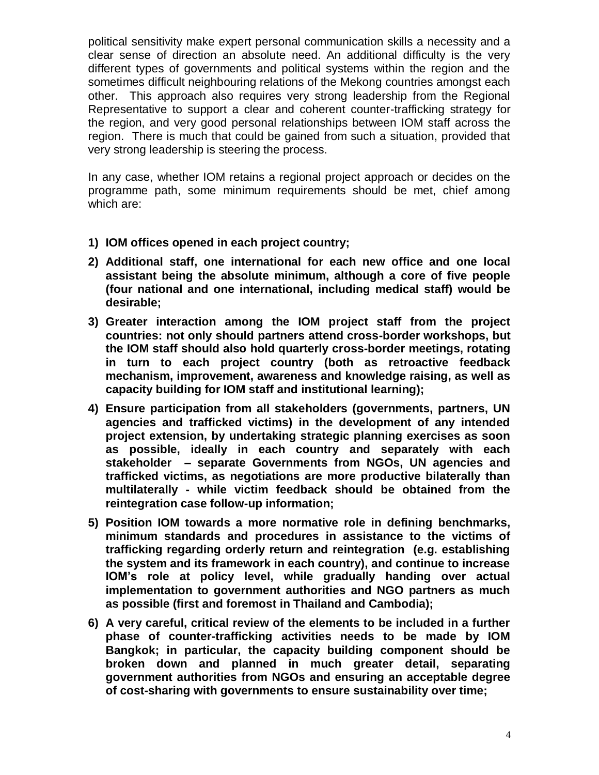political sensitivity make expert personal communication skills a necessity and a clear sense of direction an absolute need. An additional difficulty is the very different types of governments and political systems within the region and the sometimes difficult neighbouring relations of the Mekong countries amongst each other. This approach also requires very strong leadership from the Regional Representative to support a clear and coherent counter-trafficking strategy for the region, and very good personal relationships between IOM staff across the region. There is much that could be gained from such a situation, provided that very strong leadership is steering the process.

In any case, whether IOM retains a regional project approach or decides on the programme path, some minimum requirements should be met, chief among which are:

- **1) IOM offices opened in each project country;**
- **2) Additional staff, one international for each new office and one local assistant being the absolute minimum, although a core of five people (four national and one international, including medical staff) would be desirable;**
- **3) Greater interaction among the IOM project staff from the project countries: not only should partners attend cross-border workshops, but the IOM staff should also hold quarterly cross-border meetings, rotating in turn to each project country (both as retroactive feedback mechanism, improvement, awareness and knowledge raising, as well as capacity building for IOM staff and institutional learning);**
- **4) Ensure participation from all stakeholders (governments, partners, UN agencies and trafficked victims) in the development of any intended project extension, by undertaking strategic planning exercises as soon as possible, ideally in each country and separately with each stakeholder – separate Governments from NGOs, UN agencies and trafficked victims, as negotiations are more productive bilaterally than multilaterally - while victim feedback should be obtained from the reintegration case follow-up information;**
- **5) Position IOM towards a more normative role in defining benchmarks, minimum standards and procedures in assistance to the victims of trafficking regarding orderly return and reintegration (e.g. establishing the system and its framework in each country), and continue to increase IOM's role at policy level, while gradually handing over actual implementation to government authorities and NGO partners as much as possible (first and foremost in Thailand and Cambodia);**
- **6) A very careful, critical review of the elements to be included in a further phase of counter-trafficking activities needs to be made by IOM Bangkok; in particular, the capacity building component should be broken down and planned in much greater detail, separating government authorities from NGOs and ensuring an acceptable degree of cost-sharing with governments to ensure sustainability over time;**